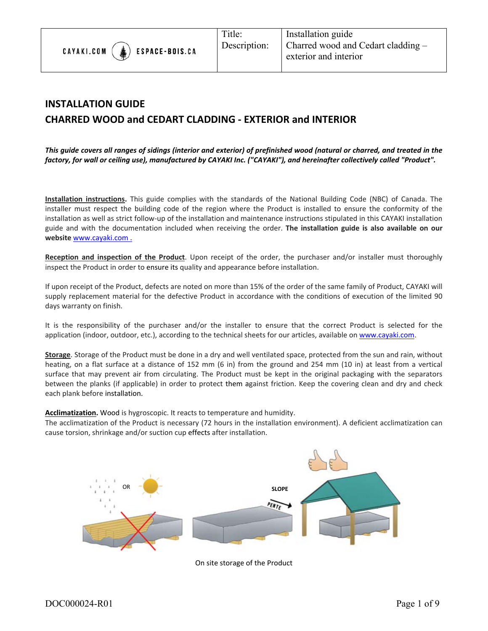

# **INSTALLATION GUIDE CHARRED WOOD and CEDART CLADDING ‐ EXTERIOR and INTERIOR**

*This guide covers all ranges of sidings (interior and exterior) of prefinished wood (natural or charred, and treated in the factory, for wall or ceiling use), manufactured by CAYAKI Inc. ("CAYAKI"), and hereinafter collectively called "Product".* 

**Installation instructions.** This guide complies with the standards of the National Building Code (NBC) of Canada. The installer must respect the building code of the region where the Product is installed to ensure the conformity of the installation as well as strict follow‐up of the installation and maintenance instructions stipulated in this CAYAKI installation guide and with the documentation included when receiving the order. **The installation guide is also available on our website** www.cayaki.com .

**Reception and inspection of the Product**. Upon receipt of the order, the purchaser and/or installer must thoroughly inspect the Product in order to ensure its quality and appearance before installation.

If upon receipt of the Product, defects are noted on more than 15% of the order of the same family of Product, CAYAKI will supply replacement material for the defective Product in accordance with the conditions of execution of the limited 90 days warranty on finish.

It is the responsibility of the purchaser and/or the installer to ensure that the correct Product is selected for the application (indoor, outdoor, etc.), according to the technical sheets for our articles, available on www.cayaki.com.

**Storage**. Storage of the Product must be done in a dry and well ventilated space, protected from the sun and rain, without heating, on a flat surface at a distance of 152 mm (6 in) from the ground and 254 mm (10 in) at least from a vertical surface that may prevent air from circulating. The Product must be kept in the original packaging with the separators between the planks (if applicable) in order to protect them against friction. Keep the covering clean and dry and check each plank before installation.

**Acclimatization.** Wood is hygroscopic. It reacts to temperature and humidity.

The acclimatization of the Product is necessary (72 hours in the installation environment). A deficient acclimatization can cause torsion, shrinkage and/or suction cup effects after installation.



On site storage of the Product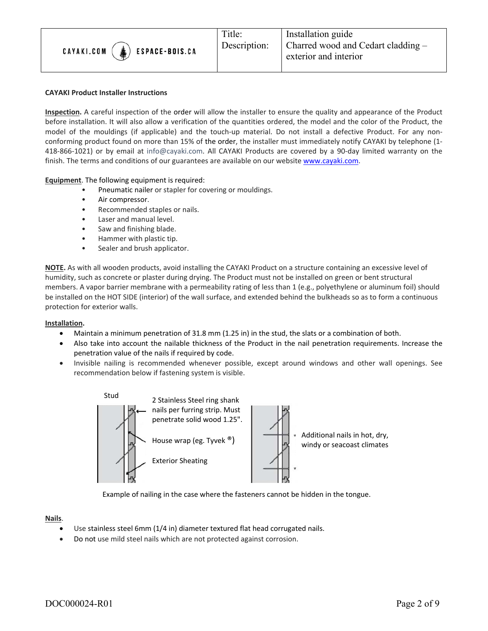

#### **CAYAKI Product Installer Instructions**

**Inspection.** A careful inspection of the order will allow the installer to ensure the quality and appearance of the Product before installation. It will also allow a verification of the quantities ordered, the model and the color of the Product, the model of the mouldings (if applicable) and the touch-up material. Do not install a defective Product. For any nonconforming product found on more than 15% of the order, the installer must immediately notify CAYAKI by telephone (1‐ 418-866-1021) or by email at info@cayaki.com. All CAYAKI Products are covered by a 90-day limited warranty on the finish. The terms and conditions of our guarantees are available on our website www.cayaki.com.

**Equipment**. The following equipment is required:

- Pneumatic nailer or stapler for covering or mouldings.
- Air compressor.
- Recommended staples or nails.
- Laser and manual level.
- Saw and finishing blade.
- Hammer with plastic tip.
- Sealer and brush applicator.

**NOTE.** As with all wooden products, avoid installing the CAYAKI Product on a structure containing an excessive level of humidity, such as concrete or plaster during drying. The Product must not be installed on green or bent structural members. A vapor barrier membrane with a permeability rating of less than 1 (e.g., polyethylene or aluminum foil) should be installed on the HOT SIDE (interior) of the wall surface, and extended behind the bulkheads so as to form a continuous protection for exterior walls.

#### **Installation.**

- Maintain a minimum penetration of 31.8 mm (1.25 in) in the stud, the slats or a combination of both.
- Also take into account the nailable thickness of the Product in the nail penetration requirements. Increase the penetration value of the nails if required by code.
- Invisible nailing is recommended whenever possible, except around windows and other wall openings. See recommendation below if fastening system is visible.



Example of nailing in the case where the fasteners cannot be hidden in the tongue.

#### **Nails**.

- Use stainless steel 6mm (1/4 in) diameter textured flat head corrugated nails.
- Do not use mild steel nails which are not protected against corrosion.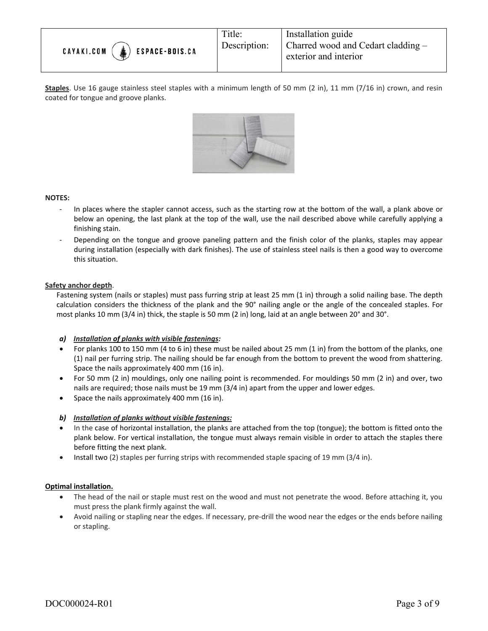

**Staples**. Use 16 gauge stainless steel staples with a minimum length of 50 mm (2 in), 11 mm (7/16 in) crown, and resin coated for tongue and groove planks.



#### **NOTES:**

- In places where the stapler cannot access, such as the starting row at the bottom of the wall, a plank above or below an opening, the last plank at the top of the wall, use the nail described above while carefully applying a finishing stain.
- ‐ Depending on the tongue and groove paneling pattern and the finish color of the planks, staples may appear during installation (especially with dark finishes). The use of stainless steel nails is then a good way to overcome this situation.

#### **Safety anchor depth**.

Fastening system (nails or staples) must pass furring strip at least 25 mm (1 in) through a solid nailing base. The depth calculation considers the thickness of the plank and the 90° nailing angle or the angle of the concealed staples. For most planks 10 mm (3/4 in) thick, the staple is 50 mm (2 in) long, laid at an angle between 20° and 30°.

## *a) Installation of planks with visible fastenings:*

- For planks 100 to 150 mm (4 to 6 in) these must be nailed about 25 mm (1 in) from the bottom of the planks, one (1) nail per furring strip. The nailing should be far enough from the bottom to prevent the wood from shattering. Space the nails approximately 400 mm (16 in).
- For 50 mm (2 in) mouldings, only one nailing point is recommended. For mouldings 50 mm (2 in) and over, two nails are required; those nails must be 19 mm (3/4 in) apart from the upper and lower edges.
- Space the nails approximately 400 mm (16 in).

## *b) Installation of planks without visible fastenings:*

- In the case of horizontal installation, the planks are attached from the top (tongue); the bottom is fitted onto the plank below. For vertical installation, the tongue must always remain visible in order to attach the staples there before fitting the next plank.
- Install two (2) staples per furring strips with recommended staple spacing of 19 mm (3/4 in).

#### **Optimal installation.**

- The head of the nail or staple must rest on the wood and must not penetrate the wood. Before attaching it, you must press the plank firmly against the wall.
- Avoid nailing or stapling near the edges. If necessary, pre‐drill the wood near the edges or the ends before nailing or stapling.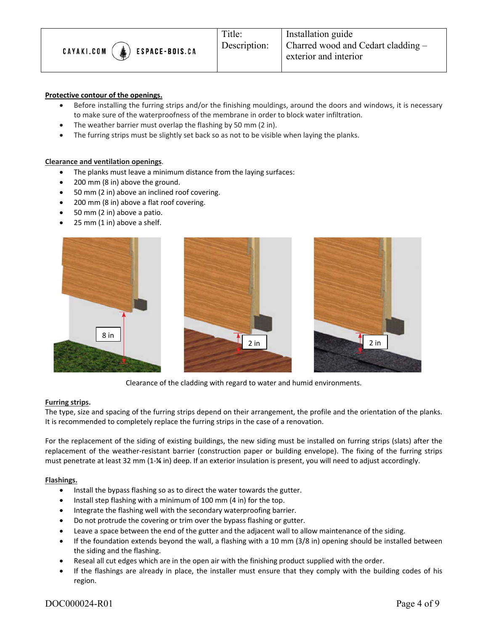

#### **Protective contour of the openings.**

- Before installing the furring strips and/or the finishing mouldings, around the doors and windows, it is necessary to make sure of the waterproofness of the membrane in order to block water infiltration.
- The weather barrier must overlap the flashing by 50 mm (2 in).
- The furring strips must be slightly set back so as not to be visible when laying the planks.

#### **Clearance and ventilation openings**.

- The planks must leave a minimum distance from the laying surfaces:
- 200 mm (8 in) above the ground.
- 50 mm (2 in) above an inclined roof covering.
- 200 mm (8 in) above a flat roof covering.
- 50 mm (2 in) above a patio.
- 25 mm (1 in) above a shelf.



Clearance of the cladding with regard to water and humid environments.

#### **Furring strips.**

The type, size and spacing of the furring strips depend on their arrangement, the profile and the orientation of the planks. It is recommended to completely replace the furring strips in the case of a renovation.

For the replacement of the siding of existing buildings, the new siding must be installed on furring strips (slats) after the replacement of the weather-resistant barrier (construction paper or building envelope). The fixing of the furring strips must penetrate at least 32 mm (1‐**¼** in) deep. If an exterior insulation is present, you will need to adjust accordingly.

#### **Flashings.**

- Install the bypass flashing so as to direct the water towards the gutter.
- $\bullet$  Install step flashing with a minimum of 100 mm (4 in) for the top.
- Integrate the flashing well with the secondary waterproofing barrier.
- Do not protrude the covering or trim over the bypass flashing or gutter.
- Leave a space between the end of the gutter and the adjacent wall to allow maintenance of the siding.
- If the foundation extends beyond the wall, a flashing with a 10 mm (3/8 in) opening should be installed between the siding and the flashing.
- Reseal all cut edges which are in the open air with the finishing product supplied with the order.
- If the flashings are already in place, the installer must ensure that they comply with the building codes of his region.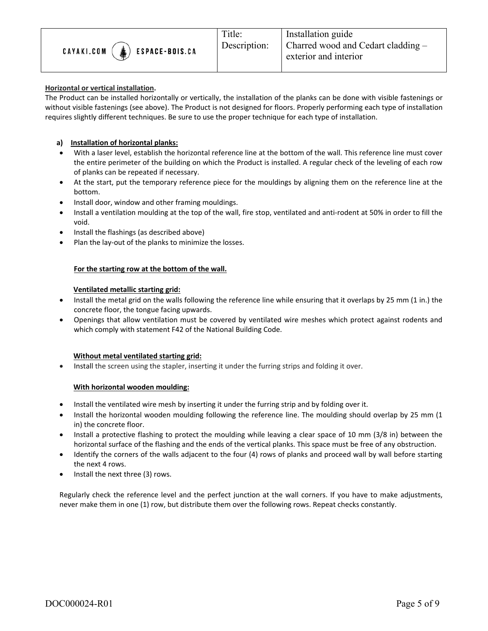

## **Horizontal or vertical installation.**

The Product can be installed horizontally or vertically, the installation of the planks can be done with visible fastenings or without visible fastenings (see above). The Product is not designed for floors. Properly performing each type of installation requires slightly different techniques. Be sure to use the proper technique for each type of installation.

# **a) Installation of horizontal planks:**

- With a laser level, establish the horizontal reference line at the bottom of the wall. This reference line must cover the entire perimeter of the building on which the Product is installed. A regular check of the leveling of each row of planks can be repeated if necessary.
- At the start, put the temporary reference piece for the mouldings by aligning them on the reference line at the bottom.
- Install door, window and other framing mouldings.
- Install a ventilation moulding at the top of the wall, fire stop, ventilated and anti-rodent at 50% in order to fill the void.
- Install the flashings (as described above)
- Plan the lay‐out of the planks to minimize the losses.

## **For the starting row at the bottom of the wall.**

# **Ventilated metallic starting grid:**

- Install the metal grid on the walls following the reference line while ensuring that it overlaps by 25 mm (1 in.) the concrete floor, the tongue facing upwards.
- Openings that allow ventilation must be covered by ventilated wire meshes which protect against rodents and which comply with statement F42 of the National Building Code.

## **Without metal ventilated starting grid:**

• Install the screen using the stapler, inserting it under the furring strips and folding it over.

## **With horizontal wooden moulding:**

- Install the ventilated wire mesh by inserting it under the furring strip and by folding over it.
- Install the horizontal wooden moulding following the reference line. The moulding should overlap by 25 mm (1) in) the concrete floor.
- Install a protective flashing to protect the moulding while leaving a clear space of 10 mm (3/8 in) between the horizontal surface of the flashing and the ends of the vertical planks. This space must be free of any obstruction.
- Identify the corners of the walls adjacent to the four (4) rows of planks and proceed wall by wall before starting the next 4 rows.
- $\bullet$  Install the next three (3) rows.

 Regularly check the reference level and the perfect junction at the wall corners. If you have to make adjustments, never make them in one (1) row, but distribute them over the following rows. Repeat checks constantly.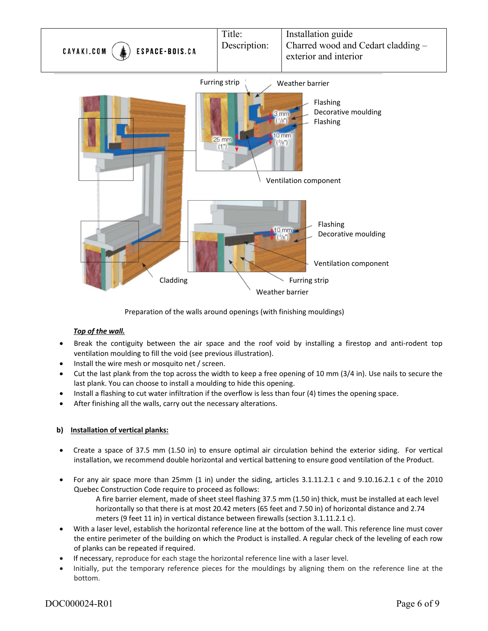

Preparation of the walls around openings (with finishing mouldings)

# *Top of the wall.*

- Break the contiguity between the air space and the roof void by installing a firestop and anti-rodent top ventilation moulding to fill the void (see previous illustration).
- Install the wire mesh or mosquito net / screen.
- Cut the last plank from the top across the width to keep a free opening of 10 mm (3/4 in). Use nails to secure the last plank. You can choose to install a moulding to hide this opening.
- Install a flashing to cut water infiltration if the overflow is less than four (4) times the opening space.
- After finishing all the walls, carry out the necessary alterations.

# **b) Installation of vertical planks:**

- Create a space of 37.5 mm (1.50 in) to ensure optimal air circulation behind the exterior siding. For vertical installation, we recommend double horizontal and vertical battening to ensure good ventilation of the Product.
- For any air space more than  $25$ mm  $(1 \text{ in})$  under the siding, articles  $3.1.11.2.1 \text{ c}$  and  $9.10.16.2.1 \text{ c}$  of the  $2010$ Quebec Construction Code require to proceed as follows:
	- A fire barrier element, made of sheet steel flashing 37.5 mm (1.50 in) thick, must be installed at each level horizontally so that there is at most 20.42 meters (65 feet and 7.50 in) of horizontal distance and 2.74 meters (9 feet 11 in) in vertical distance between firewalls (section 3.1.11.2.1 c).
- With a laser level, establish the horizontal reference line at the bottom of the wall. This reference line must cover the entire perimeter of the building on which the Product is installed. A regular check of the leveling of each row of planks can be repeated if required.
- If necessary, reproduce for each stage the horizontal reference line with a laser level.
- Initially, put the temporary reference pieces for the mouldings by aligning them on the reference line at the bottom.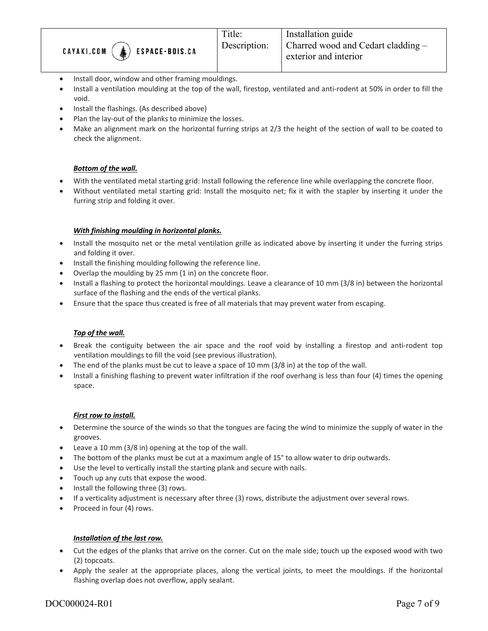

- Install door, window and other framing mouldings.
- Install a ventilation moulding at the top of the wall, firestop, ventilated and anti-rodent at 50% in order to fill the void.
- Install the flashings. (As described above)
- Plan the lay-out of the planks to minimize the losses.
- Make an alignment mark on the horizontal furring strips at 2/3 the height of the section of wall to be coated to check the alignment.

# *Bottom of the wall.*

- With the ventilated metal starting grid: Install following the reference line while overlapping the concrete floor.
- Without ventilated metal starting grid: Install the mosquito net; fix it with the stapler by inserting it under the furring strip and folding it over.

## *With finishing moulding in horizontal planks.*

- Install the mosquito net or the metal ventilation grille as indicated above by inserting it under the furring strips and folding it over.
- Install the finishing moulding following the reference line.
- Overlap the moulding by 25 mm (1 in) on the concrete floor.
- Install a flashing to protect the horizontal mouldings. Leave a clearance of 10 mm (3/8 in) between the horizontal surface of the flashing and the ends of the vertical planks.
- Ensure that the space thus created is free of all materials that may prevent water from escaping.

## *Top of the wall.*

- Break the contiguity between the air space and the roof void by installing a firestop and anti-rodent top ventilation mouldings to fill the void (see previous illustration).
- The end of the planks must be cut to leave a space of 10 mm (3/8 in) at the top of the wall.
- Install a finishing flashing to prevent water infiltration if the roof overhang is less than four (4) times the opening space.

## *First row to install.*

- Determine the source of the winds so that the tongues are facing the wind to minimize the supply of water in the grooves.
- Leave a 10 mm (3/8 in) opening at the top of the wall.
- The bottom of the planks must be cut at a maximum angle of 15° to allow water to drip outwards.
- Use the level to vertically install the starting plank and secure with nails.
- Touch up any cuts that expose the wood.
- $\bullet$  Install the following three (3) rows.
- If a verticality adjustment is necessary after three (3) rows, distribute the adjustment over several rows.
- Proceed in four (4) rows.

## *Installation of the last row.*

- Cut the edges of the planks that arrive on the corner. Cut on the male side; touch up the exposed wood with two (2) topcoats.
- Apply the sealer at the appropriate places, along the vertical joints, to meet the mouldings. If the horizontal flashing overlap does not overflow, apply sealant.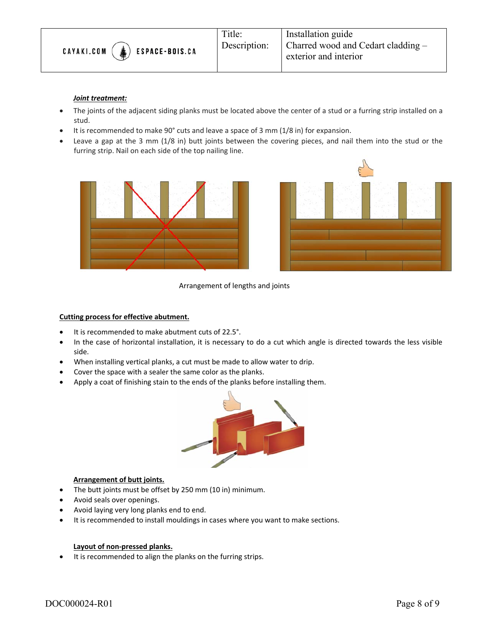

#### *Joint treatment:*

- The joints of the adjacent siding planks must be located above the center of a stud or a furring strip installed on a stud.
- It is recommended to make 90° cuts and leave a space of 3 mm (1/8 in) for expansion.
- Leave a gap at the 3 mm (1/8 in) butt joints between the covering pieces, and nail them into the stud or the furring strip. Nail on each side of the top nailing line.





Arrangement of lengths and joints

#### **Cutting process for effective abutment.**

- It is recommended to make abutment cuts of 22.5°.
- In the case of horizontal installation, it is necessary to do a cut which angle is directed towards the less visible side.
- When installing vertical planks, a cut must be made to allow water to drip.
- Cover the space with a sealer the same color as the planks.
- Apply a coat of finishing stain to the ends of the planks before installing them.



## **Arrangement of butt joints.**

- The butt joints must be offset by 250 mm (10 in) minimum.
- Avoid seals over openings.
- Avoid laying very long planks end to end.
- It is recommended to install mouldings in cases where you want to make sections.

#### **Layout of non‐pressed planks.**

It is recommended to align the planks on the furring strips.